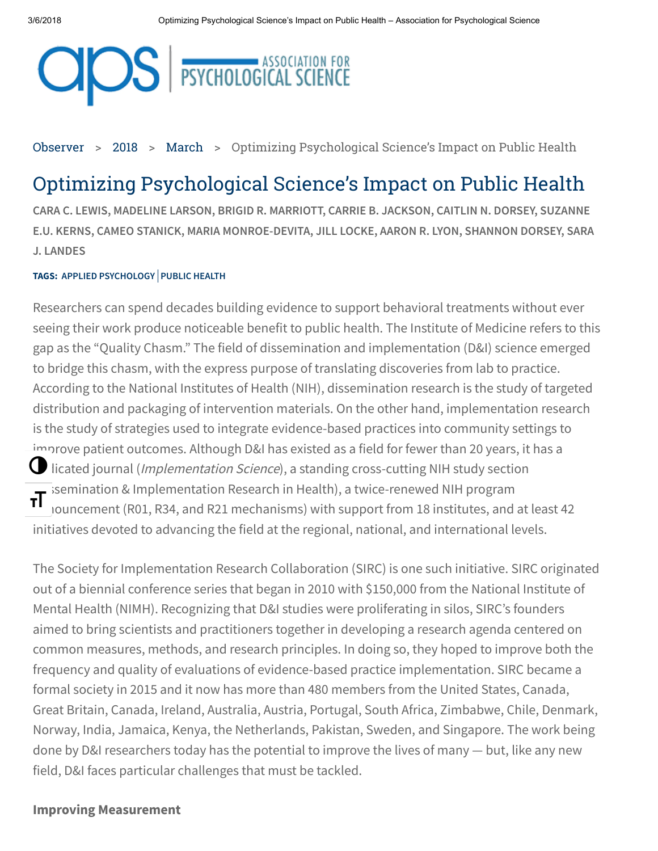# **CIOS** BYCHOLOGICAL SCIENCE

[Observer](https://www.psychologicalscience.org/observer) > [2018](https://www.psychologicalscience.org/issue/2018) > [March](https://www.psychologicalscience.org/issue/march-18) > Optimizing Psychological Science's Impact on Public Health

## Optimizing Psychological Science's Impact on Public Health

CARA C. LEWIS, MADELINE LARSON, BRIGID R. MARRIOTT, CARRIE B. JACKSON, CAITLIN N. DORSEY, SUZANNE E.U. KERNS, CAMEO STANICK, MARIA MONROE-DEVITA, JILL LOCKE, AARON R. LYON, SHANNON DORSEY, SARA J. LANDES

## TAGS: [APPLIED PSYCHOLOGY](https://www.psychologicalscience.org/tag/applied-psychology) PUBLIC [HEALTH](https://www.psychologicalscience.org/tag/public-health)

Researchers can spend decades building evidence to support behavioral treatments without ever seeing their work produce noticeable benefit to public health. The Institute of Medicine refers to this gap as the "Quality Chasm." The field of dissemination and implementation (D&I) science emerged to bridge this chasm, with the express purpose of translating discoveries from lab to practice. According to the National Institutes of Health (NIH), dissemination research is the study of targeted distribution and packaging of intervention materials. On the other hand, implementation research is the study of strategies used to integrate evidence-based practices into community settings to improve patient outcomes. Although D&I has existed as a field for fewer than 20 years, it has a  $\bigodot$  licated journal (*Implementation Science*), a standing cross-cutting NIH study section  $\overline{\mathbf{H}}$  isemination & Implementation Research in Health), a twice-renewed NIH program announcement (R01, R34, and R21 mechanisms) with support from 18 institutes, and at least 42 initiatives devoted to advancing the field at the regional, national, and international levels.

The Society for Implementation Research Collaboration (SIRC) is one such initiative. SIRC originated out of a biennial conference series that began in 2010 with \$150,000 from the National Institute of Mental Health (NIMH). Recognizing that D&I studies were proliferating in silos, SIRC's founders aimed to bring scientists and practitioners together in developing a research agenda centered on common measures, methods, and research principles. In doing so, they hoped to improve both the frequency and quality of evaluations of evidence-based practice implementation. SIRC became a formal society in 2015 and it now has more than 480 members from the United States, Canada, Great Britain, Canada, Ireland, Australia, Austria, Portugal, South Africa, Zimbabwe, Chile, Denmark, Norway, India, Jamaica, Kenya, the Netherlands, Pakistan, Sweden, and Singapore. The work being done by D&I researchers today has the potential to improve the lives of many — but, like any new field, D&I faces particular challenges that must be tackled.

## Improving Measurement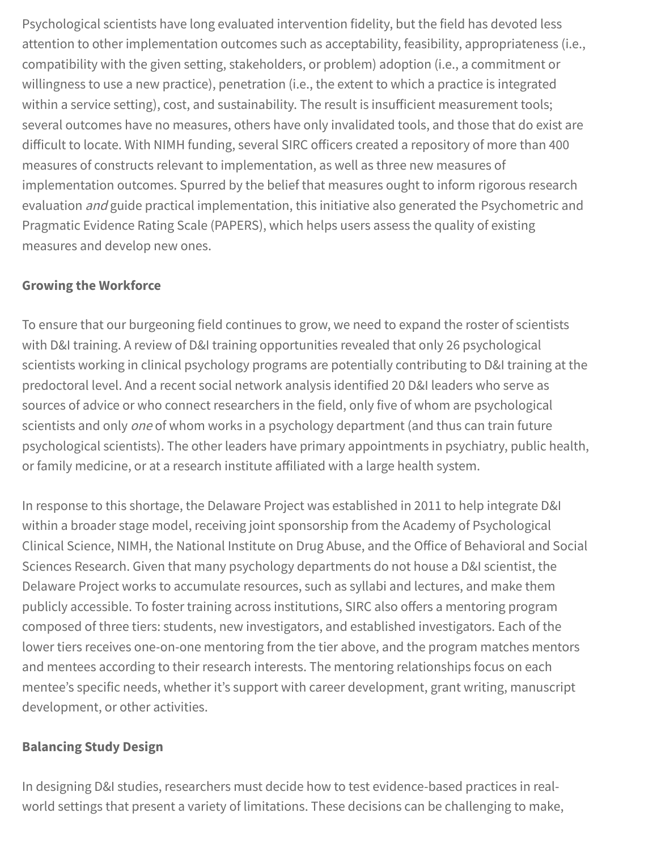Psychological scientists have long evaluated intervention fidelity, but the field has devoted less attention to other implementation outcomes such as acceptability, feasibility, appropriateness (i.e., compatibility with the given setting, stakeholders, or problem) adoption (i.e., a commitment or willingness to use a new practice), penetration (i.e., the extent to which a practice is integrated within a service setting), cost, and sustainability. The result is insufficient measurement tools; several outcomes have no measures, others have only invalidated tools, and those that do exist are difficult to locate. With NIMH funding, several SIRC officers created a repository of more than 400 measures of constructs relevant to implementation, as well as three new measures of implementation outcomes. Spurred by the belief that measures ought to inform rigorous research evaluation and guide practical implementation, this initiative also generated the Psychometric and Pragmatic Evidence Rating Scale (PAPERS), which helps users assess the quality of existing measures and develop new ones.

## Growing the Workforce

To ensure that our burgeoning field continues to grow, we need to expand the roster of scientists with D&I training. A review of D&I training opportunities revealed that only 26 psychological scientists working in clinical psychology programs are potentially contributing to D&I training at the predoctoral level. And a recent social network analysis identified 20 D&I leaders who serve as sources of advice or who connect researchers in the field, only five of whom are psychological scientists and only *one* of whom works in a psychology department (and thus can train future psychological scientists). The other leaders have primary appointments in psychiatry, public health, or family medicine, or at a research institute affiliated with a large health system.

In response to this shortage, the Delaware Project was established in 2011 to help integrate D&I within a broader stage model, receiving joint sponsorship from the Academy of Psychological Clinical Science, NIMH, the National Institute on Drug Abuse, and the Office of Behavioral and Social Sciences Research. Given that many psychology departments do not house a D&I scientist, the Delaware Project works to accumulate resources, such as syllabi and lectures, and make them publicly accessible. To foster training across institutions, SIRC also offers a mentoring program composed of three tiers: students, new investigators, and established investigators. Each of the lower tiers receives one-on-one mentoring from the tier above, and the program matches mentors and mentees according to their research interests. The mentoring relationships focus on each mentee's specific needs, whether it's support with career development, grant writing, manuscript development, or other activities.

## Balancing Study Design

In designing D&I studies, researchers must decide how to test evidence-based practices in realworld settings that present a variety of limitations. These decisions can be challenging to make,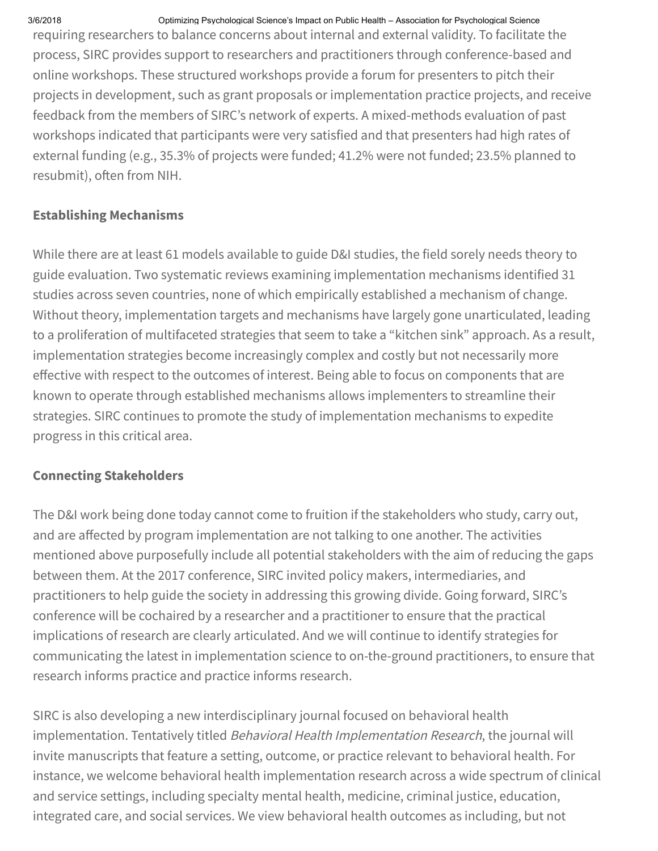### 3/6/2018 Optimizing Psychological Science's Impact on Public Health – Association for Psychological Science

requiring researchers to balance concerns about internal and external validity. To facilitate the process, SIRC provides support to researchers and practitioners through conference-based and online workshops. These structured workshops provide a forum for presenters to pitch their projects in development, such as grant proposals or implementation practice projects, and receive feedback from the members of SIRC's network of experts. A mixed-methods evaluation of past workshops indicated that participants were very satisfied and that presenters had high rates of external funding (e.g., 35.3% of projects were funded; 41.2% were not funded; 23.5% planned to resubmit), often from NIH.

## Establishing Mechanisms

While there are at least 61 models available to guide D&I studies, the field sorely needs theory to guide evaluation. Two systematic reviews examining implementation mechanisms identified 31 studies across seven countries, none of which empirically established a mechanism of change. Without theory, implementation targets and mechanisms have largely gone unarticulated, leading to a proliferation of multifaceted strategies that seem to take a "kitchen sink" approach. As a result, implementation strategies become increasingly complex and costly but not necessarily more effective with respect to the outcomes of interest. Being able to focus on components that are known to operate through established mechanisms allows implementers to streamline their strategies. SIRC continues to promote the study of implementation mechanisms to expedite progress in this critical area.

## Connecting Stakeholders

The D&I work being done today cannot come to fruition if the stakeholders who study, carry out, and are affected by program implementation are not talking to one another. The activities mentioned above purposefully include all potential stakeholders with the aim of reducing the gaps between them. At the 2017 conference, SIRC invited policy makers, intermediaries, and practitioners to help guide the society in addressing this growing divide. Going forward, SIRC's conference will be cochaired by a researcher and a practitioner to ensure that the practical implications of research are clearly articulated. And we will continue to identify strategies for communicating the latest in implementation science to on-the-ground practitioners, to ensure that research informs practice and practice informs research.

SIRC is also developing a new interdisciplinary journal focused on behavioral health implementation. Tentatively titled Behavioral Health Implementation Research, the journal will invite manuscripts that feature a setting, outcome, or practice relevant to behavioral health. For instance, we welcome behavioral health implementation research across a wide spectrum of clinical and service settings, including specialty mental health, medicine, criminal justice, education, integrated care, and social services. We view behavioral health outcomes as including, but not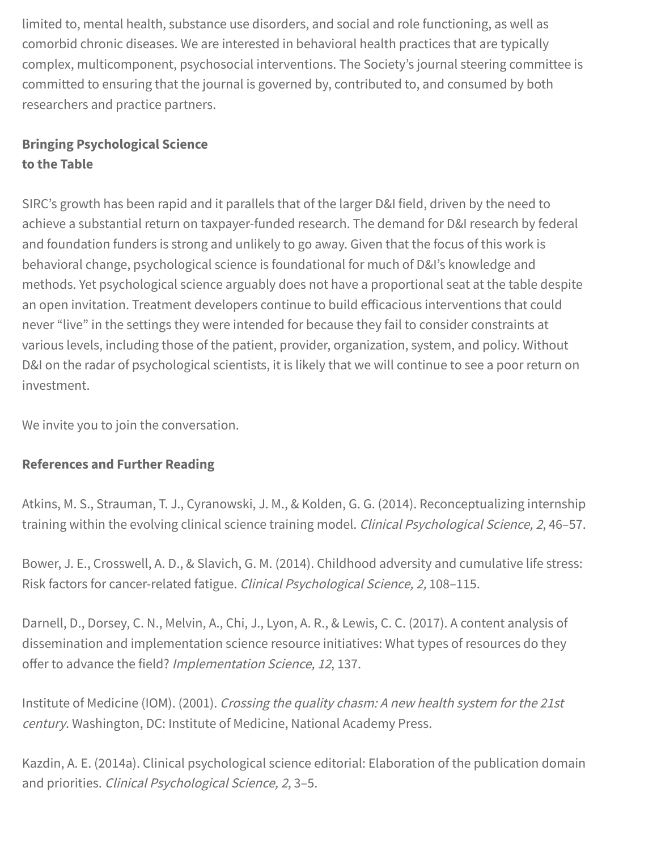limited to, mental health, substance use disorders, and social and role functioning, as well as comorbid chronic diseases. We are interested in behavioral health practices that are typically complex, multicomponent, psychosocial interventions. The Society's journal steering committee is committed to ensuring that the journal is governed by, contributed to, and consumed by both researchers and practice partners.

## Bringing Psychological Science to the Table

SIRC's growth has been rapid and it parallels that of the larger D&I field, driven by the need to achieve a substantial return on taxpayer-funded research. The demand for D&I research by federal and foundation funders is strong and unlikely to go away. Given that the focus of this work is behavioral change, psychological science is foundational for much of D&I's knowledge and methods. Yet psychological science arguably does not have a proportional seat at the table despite an open invitation. Treatment developers continue to build efficacious interventions that could never "live" in the settings they were intended for because they fail to consider constraints at various levels, including those of the patient, provider, organization, system, and policy. Without D&I on the radar of psychological scientists, it is likely that we will continue to see a poor return on investment.

We invite you to join the conversation.

## References and Further Reading

Atkins, M. S., Strauman, T. J., Cyranowski, J. M., & Kolden, G. G. (2014). Reconceptualizing internship training within the evolving clinical science training model. Clinical Psychological Science, 2, 46-57.

Bower, J. E., Crosswell, A. D., & Slavich, G. M. (2014). Childhood adversity and cumulative life stress: Risk factors for cancer-related fatigue. Clinical Psychological Science, 2, 108–115.

Darnell, D., Dorsey, C. N., Melvin, A., Chi, J., Lyon, A. R., & Lewis, C. C. (2017). A content analysis of dissemination and implementation science resource initiatives: What types of resources do they offer to advance the field? Implementation Science, 12, 137.

Institute of Medicine (IOM). (2001). Crossing the quality chasm: <sup>A</sup> new health system for the 21st century. Washington, DC: Institute of Medicine, National Academy Press.

Kazdin, A. E. (2014a). Clinical psychological science editorial: Elaboration of the publication domain and priorities. Clinical Psychological Science, <sup>2</sup>, 3–5.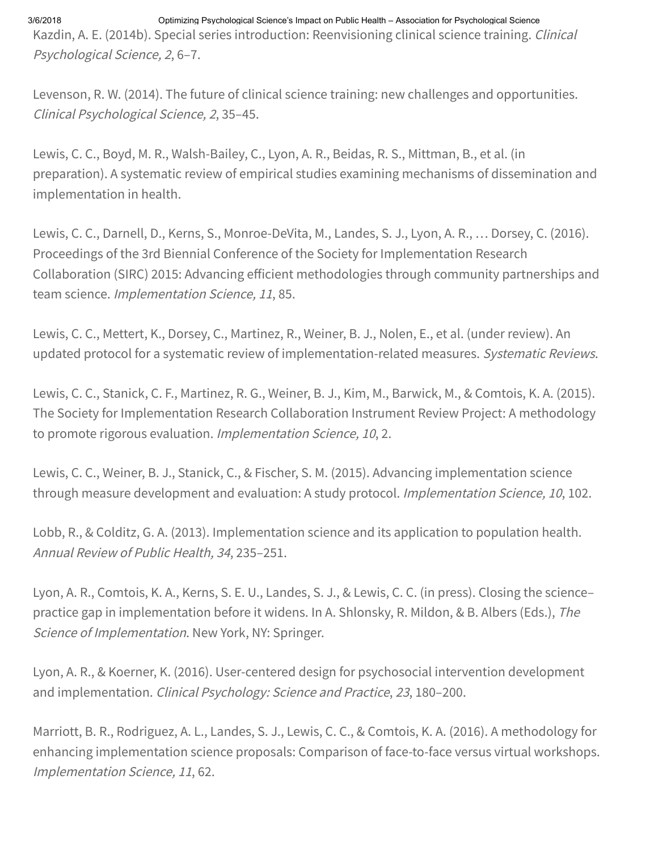Kazdin, A. E. (2014b). Special series introduction: Reenvisioning clinical science training. Clinical Psychological Science, <sup>2</sup>, 6–7.

Levenson, R. W. (2014). The future of clinical science training: new challenges and opportunities. Clinical Psychological Science, <sup>2</sup>, 35–45.

Lewis, C. C., Boyd, M. R., Walsh-Bailey, C., Lyon, A. R., Beidas, R. S., Mittman, B., et al. (in preparation). A systematic review of empirical studies examining mechanisms of dissemination and implementation in health.

Lewis, C. C., Darnell, D., Kerns, S., Monroe-DeVita, M., Landes, S. J., Lyon, A. R., … Dorsey, C. (2016). Proceedings of the 3rd Biennial Conference of the Society for Implementation Research Collaboration (SIRC) 2015: Advancing efficient methodologies through community partnerships and team science. Implementation Science, <sup>11</sup>, 85.

Lewis, C. C., Mettert, K., Dorsey, C., Martinez, R., Weiner, B. J., Nolen, E., et al. (under review). An updated protocol for a systematic review of implementation-related measures. Systematic Reviews.

Lewis, C. C., Stanick, C. F., Martinez, R. G., Weiner, B. J., Kim, M., Barwick, M., & Comtois, K. A. (2015). The Society for Implementation Research Collaboration Instrument Review Project: A methodology to promote rigorous evaluation. *Implementation Science*, 10, 2.

Lewis, C. C., Weiner, B. J., Stanick, C., & Fischer, S. M. (2015). Advancing implementation science through measure development and evaluation: A study protocol. Implementation Science, 10, 102.

Lobb, R., & Colditz, G. A. (2013). Implementation science and its application to population health. Annual Review of Public Health, <sup>34</sup>, 235–251.

Lyon, A. R., Comtois, K. A., Kerns, S. E. U., Landes, S. J., & Lewis, C. C. (in press). Closing the science– practice gap in implementation before it widens. In A. Shlonsky, R. Mildon, & B. Albers (Eds.), The Science of Implementation. New York, NY: Springer.

Lyon, A. R., & Koerner, K. (2016). User-centered design for psychosocial intervention development and implementation. Clinical Psychology: Science and Practice, <sup>23</sup>, 180–200.

Marriott, B. R., Rodriguez, A. L., Landes, S. J., Lewis, C. C., & Comtois, K. A. (2016). A methodology for enhancing implementation science proposals: Comparison of face-to-face versus virtual workshops. Implementation Science, <sup>11</sup>, 62.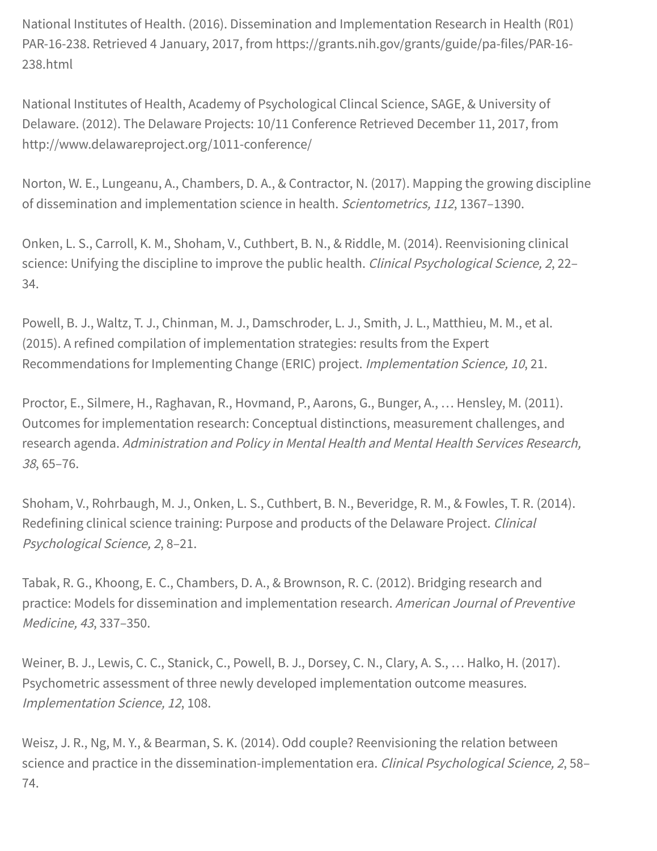National Institutes of Health. (2016). Dissemination and Implementation Research in Health (R01) PAR-16-238. Retrieved 4 January, 2017, from https://grants.nih.gov/grants/guide/pa-files/PAR-16- 238.html

National Institutes of Health, Academy of Psychological Clincal Science, SAGE, & University of Delaware. (2012). The Delaware Projects: 10/11 Conference Retrieved December 11, 2017, from http://www.delawareproject.org/1011-conference/

Norton, W. E., Lungeanu, A., Chambers, D. A., & Contractor, N. (2017). Mapping the growing discipline of dissemination and implementation science in health. Scientometrics, <sup>112</sup>, 1367–1390.

Onken, L. S., Carroll, K. M., Shoham, V., Cuthbert, B. N., & Riddle, M. (2014). Reenvisioning clinical science: Unifying the discipline to improve the public health. Clinical Psychological Science, 2, 22-34.

Powell, B. J., Waltz, T. J., Chinman, M. J., Damschroder, L. J., Smith, J. L., Matthieu, M. M., et al. (2015). A refined compilation of implementation strategies: results from the Expert Recommendations for Implementing Change (ERIC) project. Implementation Science, <sup>10</sup>, 21.

Proctor, E., Silmere, H., Raghavan, R., Hovmand, P., Aarons, G., Bunger, A., … Hensley, M. (2011). Outcomes for implementation research: Conceptual distinctions, measurement challenges, and research agenda. Administration and Policy in Mental Health and Mental Health Services Research, <sup>38</sup>, 65–76.

Shoham, V., Rohrbaugh, M. J., Onken, L. S., Cuthbert, B. N., Beveridge, R. M., & Fowles, T. R. (2014). Redefining clinical science training: Purpose and products of the Delaware Project. Clinical Psychological Science, <sup>2</sup>, 8–21.

Tabak, R. G., Khoong, E. C., Chambers, D. A., & Brownson, R. C. (2012). Bridging research and practice: Models for dissemination and implementation research. American Journal of Preventive Medicine, <sup>43</sup>, 337–350.

Weiner, B. J., Lewis, C. C., Stanick, C., Powell, B. J., Dorsey, C. N., Clary, A. S., … Halko, H. (2017). Psychometric assessment of three newly developed implementation outcome measures. Implementation Science, <sup>12</sup>, 108.

Weisz, J. R., Ng, M. Y., & Bearman, S. K. (2014). Odd couple? Reenvisioning the relation between science and practice in the dissemination-implementation era. Clinical Psychological Science, 2, 58– 74.